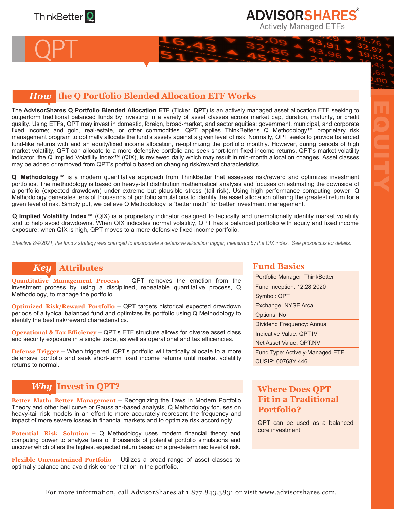

QPT

## **ADVISORSHARES Actively Managed ETFs**

EQUITY

## *How* **the Q Portfolio Blended Allocation ETF Works**

The **AdvisorShares Q Portfolio Blended Allocation ETF** (Ticker: **QPT**) is an actively managed asset allocation ETF seeking to outperform traditional balanced funds by investing in a variety of asset classes across market cap, duration, maturity, or credit quality. Using ETFs, QPT may invest in domestic, foreign, broad-market, and sector equities; government, municipal, and corporate fixed income; and gold, real-estate, or other commodities. QPT applies ThinkBetter's Q Methodology™ proprietary risk management program to optimally allocate the fund's assets against a given level of risk. Normally, QPT seeks to provide balanced fund-like returns with and an equity/fixed income allocation, re-optimizing the portfolio monthly. However, during periods of high market volatility, QPT can allocate to a more defensive portfolio and seek short-term fixed income returns. QPT's market volatility indicator, the Q Implied Volatility Index™ (QIX), is reviewed daily which may result in mid-month allocation changes. Asset classes may be added or removed from QPT's portfolio based on changing risk/reward characteristics.

Q Methodology<sup>™</sup> is a modern quantitative approach from ThinkBetter that assesses risk/reward and optimizes investment portfolios. The methodology is based on heavy-tail distribution mathematical analysis and focuses on estimating the downside of a portfolio (expected drawdown) under extreme but plausible stress (tail risk). Using high performance computing power, Q Methodology generates tens of thousands of portfolio simulations to identify the asset allocation offering the greatest return for a given level of risk. Simply put, we believe Q Methodology is "better math" for better investment management.

**Q Implied Volatility Index™** (QIX) is a proprietary indicator designed to tactically and unemotionally identify market volatility and to help avoid drawdowns. When QIX indicates normal volatility, QPT has a balanced portfolio with equity and fixed income exposure; when QIX is high, QPT moves to a more defensive fixed income portfolio.

*Effective 8/4/2021, the fund's strategy was changed to incorporate a defensive allocation trigger, measured by the QIX index. See prospectus for details.*

## *Key* **Attributes**

**Quantitative Management Process** – QPT removes the emotion from the investment process by using a disciplined, repeatable quantitative process, Q Methodology, to manage the portfolio.

**Optimized Risk/Reward Portfolio** – QPT targets historical expected drawdown periods of a typical balanced fund and optimizes its portfolio using Q Methodology to identify the best risk/reward characteristics.

**Operational & Tax Efficiency – QPT's ETF structure allows for diverse asset class** and security exposure in a single trade, as well as operational and tax efficiencies.

**Defense Trigger** – When triggered, QPT's portfolio will tactically allocate to a more defensive portfolio and seek short-term fixed income returns until market volatility returns to normal.

## *Why* **Invest in QPT?**

**Better Math: Better Management** – Recognizing the flaws in Modern Portfolio Theory and other bell curve or Gaussian-based analysis, Q Methodology focuses on heavy-tail risk models in an effort to more accurately represent the frequency and impact of more severe losses in financial markets and to optimize risk accordingly.

**Potential Risk Solution** – Q Methodology uses modern financial theory and computing power to analyze tens of thousands of potential portfolio simulations and uncover which offers the highest expected return based on a pre-determined level of risk.

**Flexible Unconstrained Portfolio** – Utilizes a broad range of asset classes to optimally balance and avoid risk concentration in the portfolio.

#### **Fund Basics**

| Portfolio Manager: ThinkBetter  |
|---------------------------------|
| Fund Inception: 12.28.2020      |
| Symbol: QPT                     |
| Exchange: NYSE Arca             |
| <b>Options: No</b>              |
| Dividend Frequency: Annual      |
| Indicative Value: QPT.IV        |
| Net Asset Value: QPT.NV         |
| Fund Type: Actively-Managed ETF |
| CUSIP: 00768Y 446               |

## **Where Does QPT Fit in a Traditional Portfolio?**

QPT can be used as a balanced core investment.